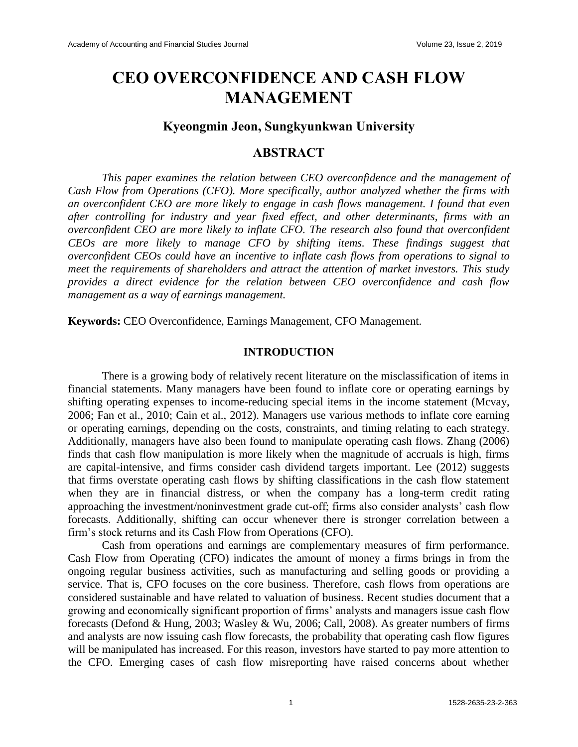# **CEO OVERCONFIDENCE AND CASH FLOW MANAGEMENT**

## **Kyeongmin Jeon, Sungkyunkwan University**

## **ABSTRACT**

*This paper examines the relation between CEO overconfidence and the management of Cash Flow from Operations (CFO). More specifically, author analyzed whether the firms with an overconfident CEO are more likely to engage in cash flows management. I found that even after controlling for industry and year fixed effect, and other determinants, firms with an overconfident CEO are more likely to inflate CFO. The research also found that overconfident CEOs are more likely to manage CFO by shifting items. These findings suggest that overconfident CEOs could have an incentive to inflate cash flows from operations to signal to meet the requirements of shareholders and attract the attention of market investors. This study provides a direct evidence for the relation between CEO overconfidence and cash flow management as a way of earnings management.*

**Keywords:** CEO Overconfidence, Earnings Management, CFO Management.

## **INTRODUCTION**

There is a growing body of relatively recent literature on the misclassification of items in financial statements. Many managers have been found to inflate core or operating earnings by shifting operating expenses to income-reducing special items in the income statement (Mcvay, 2006; Fan et al., 2010; Cain et al., 2012). Managers use various methods to inflate core earning or operating earnings, depending on the costs, constraints, and timing relating to each strategy. Additionally, managers have also been found to manipulate operating cash flows. Zhang (2006) finds that cash flow manipulation is more likely when the magnitude of accruals is high, firms are capital-intensive, and firms consider cash dividend targets important. Lee (2012) suggests that firms overstate operating cash flows by shifting classifications in the cash flow statement when they are in financial distress, or when the company has a long-term credit rating approaching the investment/noninvestment grade cut-off; firms also consider analysts' cash flow forecasts. Additionally, shifting can occur whenever there is stronger correlation between a firm's stock returns and its Cash Flow from Operations (CFO).

Cash from operations and earnings are complementary measures of firm performance. Cash Flow from Operating (CFO) indicates the amount of money a firms brings in from the ongoing regular business activities, such as manufacturing and selling goods or providing a service. That is, CFO focuses on the core business. Therefore, cash flows from operations are considered sustainable and have related to valuation of business. Recent studies document that a growing and economically significant proportion of firms' analysts and managers issue cash flow forecasts (Defond & Hung, 2003; Wasley & Wu, 2006; Call, 2008). As greater numbers of firms and analysts are now issuing cash flow forecasts, the probability that operating cash flow figures will be manipulated has increased. For this reason, investors have started to pay more attention to the CFO. Emerging cases of cash flow misreporting have raised concerns about whether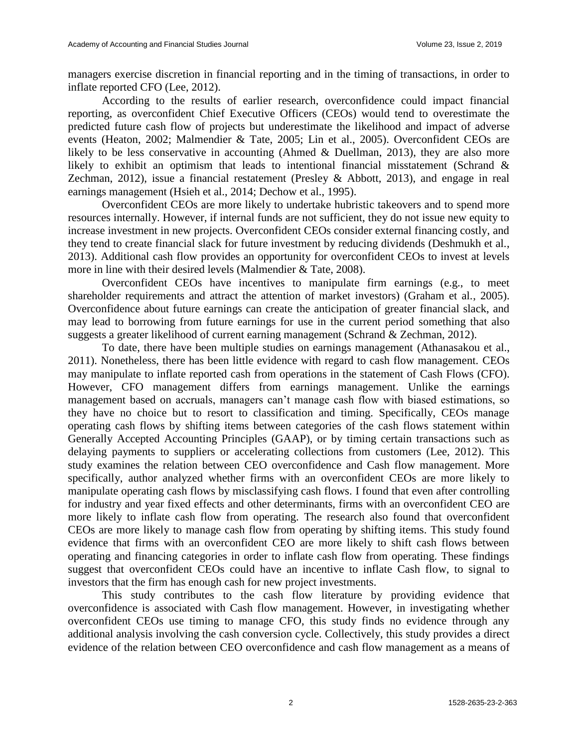managers exercise discretion in financial reporting and in the timing of transactions, in order to inflate reported CFO (Lee, 2012).

According to the results of earlier research, overconfidence could impact financial reporting, as overconfident Chief Executive Officers (CEOs) would tend to overestimate the predicted future cash flow of projects but underestimate the likelihood and impact of adverse events (Heaton, 2002; Malmendier & Tate, 2005; Lin et al., 2005). Overconfident CEOs are likely to be less conservative in accounting (Ahmed & Duellman, 2013), they are also more likely to exhibit an optimism that leads to intentional financial misstatement (Schrand & Zechman, 2012), issue a financial restatement (Presley & Abbott, 2013), and engage in real earnings management (Hsieh et al., 2014; Dechow et al., 1995).

Overconfident CEOs are more likely to undertake hubristic takeovers and to spend more resources internally. However, if internal funds are not sufficient, they do not issue new equity to increase investment in new projects. Overconfident CEOs consider external financing costly, and they tend to create financial slack for future investment by reducing dividends (Deshmukh et al., 2013). Additional cash flow provides an opportunity for overconfident CEOs to invest at levels more in line with their desired levels (Malmendier & Tate, 2008).

Overconfident CEOs have incentives to manipulate firm earnings (e.g., to meet shareholder requirements and attract the attention of market investors) (Graham et al., 2005). Overconfidence about future earnings can create the anticipation of greater financial slack, and may lead to borrowing from future earnings for use in the current period something that also suggests a greater likelihood of current earning management (Schrand & Zechman, 2012).

To date, there have been multiple studies on earnings management (Athanasakou et al., 2011). Nonetheless, there has been little evidence with regard to cash flow management. CEOs may manipulate to inflate reported cash from operations in the statement of Cash Flows (CFO). However, CFO management differs from earnings management. Unlike the earnings management based on accruals, managers can't manage cash flow with biased estimations, so they have no choice but to resort to classification and timing. Specifically, CEOs manage operating cash flows by shifting items between categories of the cash flows statement within Generally Accepted Accounting Principles (GAAP), or by timing certain transactions such as delaying payments to suppliers or accelerating collections from customers (Lee, 2012). This study examines the relation between CEO overconfidence and Cash flow management. More specifically, author analyzed whether firms with an overconfident CEOs are more likely to manipulate operating cash flows by misclassifying cash flows. I found that even after controlling for industry and year fixed effects and other determinants, firms with an overconfident CEO are more likely to inflate cash flow from operating. The research also found that overconfident CEOs are more likely to manage cash flow from operating by shifting items. This study found evidence that firms with an overconfident CEO are more likely to shift cash flows between operating and financing categories in order to inflate cash flow from operating. These findings suggest that overconfident CEOs could have an incentive to inflate Cash flow, to signal to investors that the firm has enough cash for new project investments.

This study contributes to the cash flow literature by providing evidence that overconfidence is associated with Cash flow management. However, in investigating whether overconfident CEOs use timing to manage CFO, this study finds no evidence through any additional analysis involving the cash conversion cycle. Collectively, this study provides a direct evidence of the relation between CEO overconfidence and cash flow management as a means of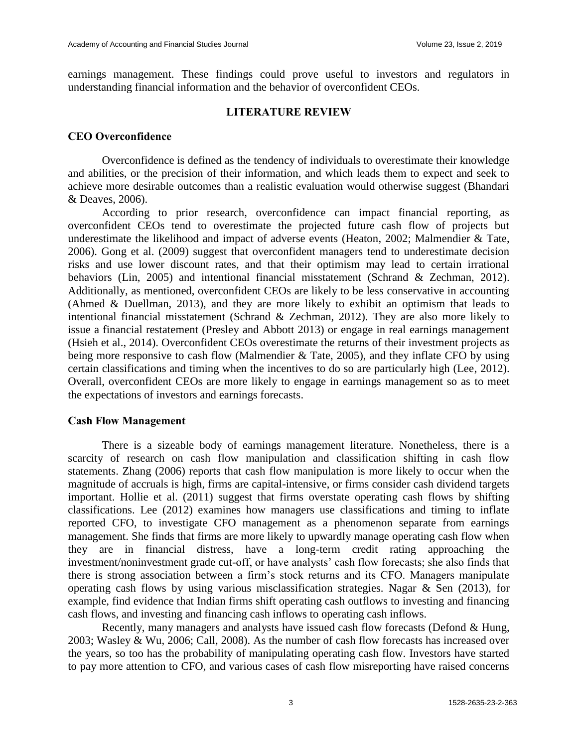earnings management. These findings could prove useful to investors and regulators in understanding financial information and the behavior of overconfident CEOs.

#### **LITERATURE REVIEW**

## **CEO Overconfidence**

Overconfidence is defined as the tendency of individuals to overestimate their knowledge and abilities, or the precision of their information, and which leads them to expect and seek to achieve more desirable outcomes than a realistic evaluation would otherwise suggest (Bhandari & Deaves, 2006).

According to prior research, overconfidence can impact financial reporting, as overconfident CEOs tend to overestimate the projected future cash flow of projects but underestimate the likelihood and impact of adverse events (Heaton, 2002; Malmendier & Tate, 2006). Gong et al. (2009) suggest that overconfident managers tend to underestimate decision risks and use lower discount rates, and that their optimism may lead to certain irrational behaviors (Lin, 2005) and intentional financial misstatement (Schrand & Zechman, 2012). Additionally, as mentioned, overconfident CEOs are likely to be less conservative in accounting (Ahmed & Duellman, 2013), and they are more likely to exhibit an optimism that leads to intentional financial misstatement (Schrand & Zechman, 2012). They are also more likely to issue a financial restatement (Presley and Abbott 2013) or engage in real earnings management (Hsieh et al., 2014). Overconfident CEOs overestimate the returns of their investment projects as being more responsive to cash flow (Malmendier & Tate, 2005), and they inflate CFO by using certain classifications and timing when the incentives to do so are particularly high (Lee, 2012). Overall, overconfident CEOs are more likely to engage in earnings management so as to meet the expectations of investors and earnings forecasts.

#### **Cash Flow Management**

There is a sizeable body of earnings management literature. Nonetheless, there is a scarcity of research on cash flow manipulation and classification shifting in cash flow statements. Zhang (2006) reports that cash flow manipulation is more likely to occur when the magnitude of accruals is high, firms are capital-intensive, or firms consider cash dividend targets important. Hollie et al. (2011) suggest that firms overstate operating cash flows by shifting classifications. Lee (2012) examines how managers use classifications and timing to inflate reported CFO, to investigate CFO management as a phenomenon separate from earnings management. She finds that firms are more likely to upwardly manage operating cash flow when they are in financial distress, have a long-term credit rating approaching the investment/noninvestment grade cut-off, or have analysts' cash flow forecasts; she also finds that there is strong association between a firm's stock returns and its CFO. Managers manipulate operating cash flows by using various misclassification strategies. Nagar  $\&$  Sen (2013), for example, find evidence that Indian firms shift operating cash outflows to investing and financing cash flows, and investing and financing cash inflows to operating cash inflows.

Recently, many managers and analysts have issued cash flow forecasts (Defond & Hung, 2003; Wasley & Wu, 2006; Call, 2008). As the number of cash flow forecasts has increased over the years, so too has the probability of manipulating operating cash flow. Investors have started to pay more attention to CFO, and various cases of cash flow misreporting have raised concerns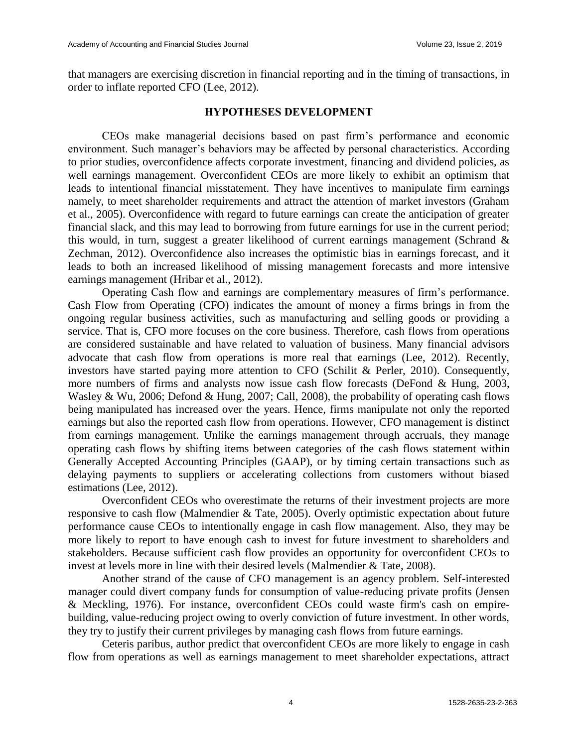that managers are exercising discretion in financial reporting and in the timing of transactions, in order to inflate reported CFO (Lee, 2012).

#### **HYPOTHESES DEVELOPMENT**

CEOs make managerial decisions based on past firm's performance and economic environment. Such manager's behaviors may be affected by personal characteristics. According to prior studies, overconfidence affects corporate investment, financing and dividend policies, as well earnings management. Overconfident CEOs are more likely to exhibit an optimism that leads to intentional financial misstatement. They have incentives to manipulate firm earnings namely, to meet shareholder requirements and attract the attention of market investors (Graham et al., 2005). Overconfidence with regard to future earnings can create the anticipation of greater financial slack, and this may lead to borrowing from future earnings for use in the current period; this would, in turn, suggest a greater likelihood of current earnings management (Schrand & Zechman, 2012). Overconfidence also increases the optimistic bias in earnings forecast, and it leads to both an increased likelihood of missing management forecasts and more intensive earnings management (Hribar et al., 2012).

Operating Cash flow and earnings are complementary measures of firm's performance. Cash Flow from Operating (CFO) indicates the amount of money a firms brings in from the ongoing regular business activities, such as manufacturing and selling goods or providing a service. That is, CFO more focuses on the core business. Therefore, cash flows from operations are considered sustainable and have related to valuation of business. Many financial advisors advocate that cash flow from operations is more real that earnings (Lee, 2012). Recently, investors have started paying more attention to CFO (Schilit & Perler, 2010). Consequently, more numbers of firms and analysts now issue cash flow forecasts (DeFond & Hung, 2003, Wasley & Wu, 2006; Defond & Hung, 2007; Call, 2008), the probability of operating cash flows being manipulated has increased over the years. Hence, firms manipulate not only the reported earnings but also the reported cash flow from operations. However, CFO management is distinct from earnings management. Unlike the earnings management through accruals, they manage operating cash flows by shifting items between categories of the cash flows statement within Generally Accepted Accounting Principles (GAAP), or by timing certain transactions such as delaying payments to suppliers or accelerating collections from customers without biased estimations (Lee, 2012).

Overconfident CEOs who overestimate the returns of their investment projects are more responsive to cash flow (Malmendier & Tate, 2005). Overly optimistic expectation about future performance cause CEOs to intentionally engage in cash flow management. Also, they may be more likely to report to have enough cash to invest for future investment to shareholders and stakeholders. Because sufficient cash flow provides an opportunity for overconfident CEOs to invest at levels more in line with their desired levels (Malmendier & Tate, 2008).

Another strand of the cause of CFO management is an agency problem. Self-interested manager could divert company funds for consumption of value-reducing private profits (Jensen & Meckling, 1976). For instance, overconfident CEOs could waste firm's cash on empirebuilding, value-reducing project owing to overly conviction of future investment. In other words, they try to justify their current privileges by managing cash flows from future earnings.

Ceteris paribus, author predict that overconfident CEOs are more likely to engage in cash flow from operations as well as earnings management to meet shareholder expectations, attract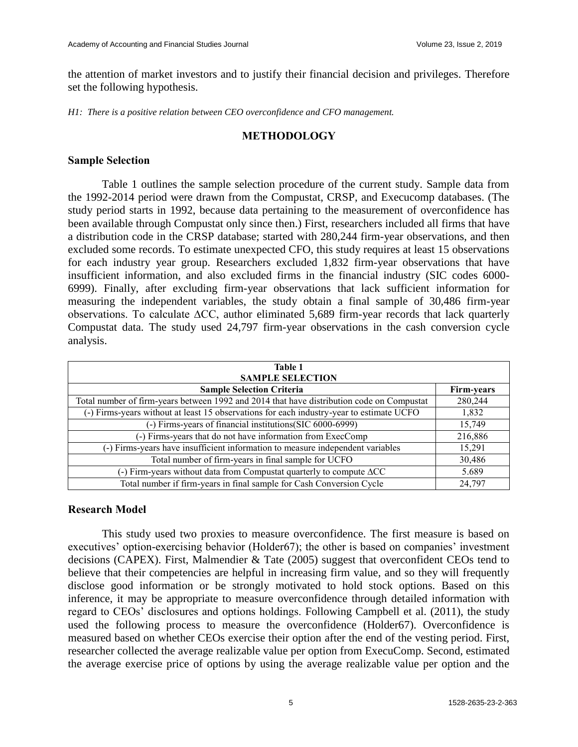the attention of market investors and to justify their financial decision and privileges. Therefore set the following hypothesis.

*H1: There is a positive relation between CEO overconfidence and CFO management.*

## **METHODOLOGY**

## **Sample Selection**

Table 1 outlines the sample selection procedure of the current study. Sample data from the 1992-2014 period were drawn from the Compustat, CRSP, and Execucomp databases. (The study period starts in 1992, because data pertaining to the measurement of overconfidence has been available through Compustat only since then.) First, researchers included all firms that have a distribution code in the CRSP database; started with 280,244 firm-year observations, and then excluded some records. To estimate unexpected CFO, this study requires at least 15 observations for each industry year group. Researchers excluded 1,832 firm-year observations that have insufficient information, and also excluded firms in the financial industry (SIC codes 6000- 6999). Finally, after excluding firm-year observations that lack sufficient information for measuring the independent variables, the study obtain a final sample of 30,486 firm-year observations. To calculate ∆CC, author eliminated 5,689 firm-year records that lack quarterly Compustat data. The study used 24,797 firm-year observations in the cash conversion cycle analysis.

| <b>Table 1</b><br><b>SAMPLE SELECTION</b>                                                 |            |  |  |  |
|-------------------------------------------------------------------------------------------|------------|--|--|--|
| <b>Sample Selection Criteria</b>                                                          | Firm-years |  |  |  |
| Total number of firm-years between 1992 and 2014 that have distribution code on Compustat | 280,244    |  |  |  |
| (-) Firms-years without at least 15 observations for each industry-year to estimate UCFO  | 1,832      |  |  |  |
| (-) Firms-years of financial institutions (SIC 6000-6999)                                 | 15,749     |  |  |  |
| (-) Firms-years that do not have information from ExecComp                                | 216,886    |  |  |  |
| (-) Firms-years have insufficient information to measure independent variables            | 15,291     |  |  |  |
| Total number of firm-years in final sample for UCFO                                       | 30,486     |  |  |  |
| (-) Firm-years without data from Compustat quarterly to compute $\Delta CC$               | 5.689      |  |  |  |
| Total number if firm-years in final sample for Cash Conversion Cycle                      | 24,797     |  |  |  |

## **Research Model**

This study used two proxies to measure overconfidence. The first measure is based on executives' option-exercising behavior (Holder67); the other is based on companies' investment decisions (CAPEX). First, Malmendier & Tate (2005) suggest that overconfident CEOs tend to believe that their competencies are helpful in increasing firm value, and so they will frequently disclose good information or be strongly motivated to hold stock options. Based on this inference, it may be appropriate to measure overconfidence through detailed information with regard to CEOs' disclosures and options holdings. Following Campbell et al. (2011), the study used the following process to measure the overconfidence (Holder67). Overconfidence is measured based on whether CEOs exercise their option after the end of the vesting period. First, researcher collected the average realizable value per option from ExecuComp. Second, estimated the average exercise price of options by using the average realizable value per option and the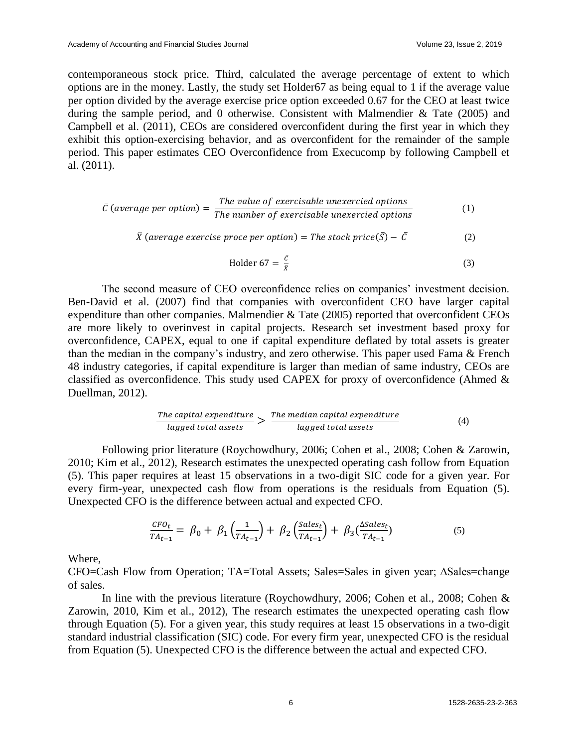contemporaneous stock price. Third, calculated the average percentage of extent to which options are in the money. Lastly, the study set Holder67 as being equal to 1 if the average value per option divided by the average exercise price option exceeded 0.67 for the CEO at least twice during the sample period, and 0 otherwise. Consistent with Malmendier & Tate (2005) and Campbell et al. (2011), CEOs are considered overconfident during the first year in which they exhibit this option-exercising behavior, and as overconfident for the remainder of the sample period. This paper estimates CEO Overconfidence from Execucomp by following Campbell et al. (2011).

$$
\bar{C} \text{ (average per option)} = \frac{\text{The value of exercise } \text{the} \text{ increase}}{\text{The number of exercise } \text{the} \text{ increase}} \tag{1}
$$

$$
\bar{X} \text{ (average exercise prove per option)} = \text{The stock price}(\bar{S}) - \bar{C}
$$
 (2)

$$
Holder 67 = \frac{c}{\bar{x}} \tag{3}
$$

The second measure of CEO overconfidence relies on companies' investment decision. Ben-David et al. (2007) find that companies with overconfident CEO have larger capital expenditure than other companies. Malmendier & Tate (2005) reported that overconfident CEOs are more likely to overinvest in capital projects. Research set investment based proxy for overconfidence, CAPEX, equal to one if capital expenditure deflated by total assets is greater than the median in the company's industry, and zero otherwise. This paper used Fama & French 48 industry categories, if capital expenditure is larger than median of same industry, CEOs are classified as overconfidence. This study used CAPEX for proxy of overconfidence (Ahmed & Duellman, 2012).

$$
\frac{The capital expenditure}{lagged total assets} > \frac{The median capital expenditure}{lagged total assets}
$$
\n(4)

Following prior literature (Roychowdhury, 2006; Cohen et al., 2008; Cohen & Zarowin, 2010; Kim et al., 2012), Research estimates the unexpected operating cash follow from Equation (5). This paper requires at least 15 observations in a two-digit SIC code for a given year. For every firm-year, unexpected cash flow from operations is the residuals from Equation (5). Unexpected CFO is the difference between actual and expected CFO.

$$
\frac{CFO_t}{TA_{t-1}} = \beta_0 + \beta_1 \left(\frac{1}{TA_{t-1}}\right) + \beta_2 \left(\frac{Sales_t}{TA_{t-1}}\right) + \beta_3 \left(\frac{\Delta Sales_t}{TA_{t-1}}\right) \tag{5}
$$

Where,

CFO=Cash Flow from Operation; TA=Total Assets; Sales=Sales in given year; ∆Sales=change of sales.

In line with the previous literature (Roychowdhury, 2006; Cohen et al., 2008; Cohen & Zarowin, 2010, Kim et al., 2012), The research estimates the unexpected operating cash flow through Equation (5). For a given year, this study requires at least 15 observations in a two-digit standard industrial classification (SIC) code. For every firm year, unexpected CFO is the residual from Equation (5). Unexpected CFO is the difference between the actual and expected CFO.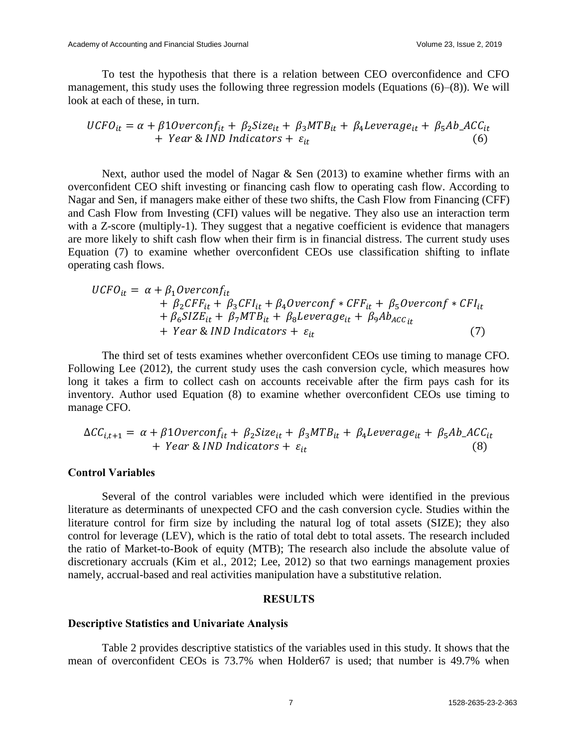To test the hypothesis that there is a relation between CEO overconfidence and CFO management, this study uses the following three regression models (Equations (6)–(8)). We will look at each of these, in turn.

$$
UCFO_{it} = \alpha + \beta 10 \text{verconf}_{it} + \beta_2 \text{Size}_{it} + \beta_3 \text{MTB}_{it} + \beta_4 \text{Leverage}_{it} + \beta_5 \text{Ab}\_\text{ACC}_{it} + \text{Year} \& \text{IND}\text{Indicators} + \varepsilon_{it} \tag{6}
$$

Next, author used the model of Nagar  $\&$  Sen (2013) to examine whether firms with an overconfident CEO shift investing or financing cash flow to operating cash flow. According to Nagar and Sen, if managers make either of these two shifts, the Cash Flow from Financing (CFF) and Cash Flow from Investing (CFI) values will be negative. They also use an interaction term with a Z-score (multiply-1). They suggest that a negative coefficient is evidence that managers are more likely to shift cash flow when their firm is in financial distress. The current study uses Equation (7) to examine whether overconfident CEOs use classification shifting to inflate operating cash flows.

$$
UCFO_{it} = \alpha + \beta_1 Overconf_{it} + \beta_2 CFF_{it} + \beta_3 CFI_{it} + \beta_4 Overconf * CFF_{it} + \beta_5 Overconf * CFI_{it} + \beta_6 SIZE_{it} + \beta_7 MTB_{it} + \beta_8 Leverage_{it} + \beta_9 Ab_{ACC_{it}} + Year & IND \; Indicators + \varepsilon_{it}
$$
 (7)

The third set of tests examines whether overconfident CEOs use timing to manage CFO. Following Lee (2012), the current study uses the cash conversion cycle, which measures how long it takes a firm to collect cash on accounts receivable after the firm pays cash for its inventory. Author used Equation (8) to examine whether overconfident CEOs use timing to manage CFO.

$$
\Delta CC_{i,t+1} = \alpha + \beta 10 \text{verconf}_{it} + \beta_2 \text{Size}_{it} + \beta_3 \text{MTB}_{it} + \beta_4 \text{Leverage}_{it} + \beta_5 \text{Ab}_{\text{-}} \text{ACC}_{it} + \text{Year} \& \text{IND}\text{Indicators} + \varepsilon_{it} \tag{8}
$$

## **Control Variables**

Several of the control variables were included which were identified in the previous literature as determinants of unexpected CFO and the cash conversion cycle. Studies within the literature control for firm size by including the natural log of total assets (SIZE); they also control for leverage (LEV), which is the ratio of total debt to total assets. The research included the ratio of Market-to-Book of equity (MTB); The research also include the absolute value of discretionary accruals (Kim et al., 2012; Lee, 2012) so that two earnings management proxies namely, accrual-based and real activities manipulation have a substitutive relation.

## **RESULTS**

#### **Descriptive Statistics and Univariate Analysis**

Table 2 provides descriptive statistics of the variables used in this study. It shows that the mean of overconfident CEOs is 73.7% when Holder67 is used; that number is 49.7% when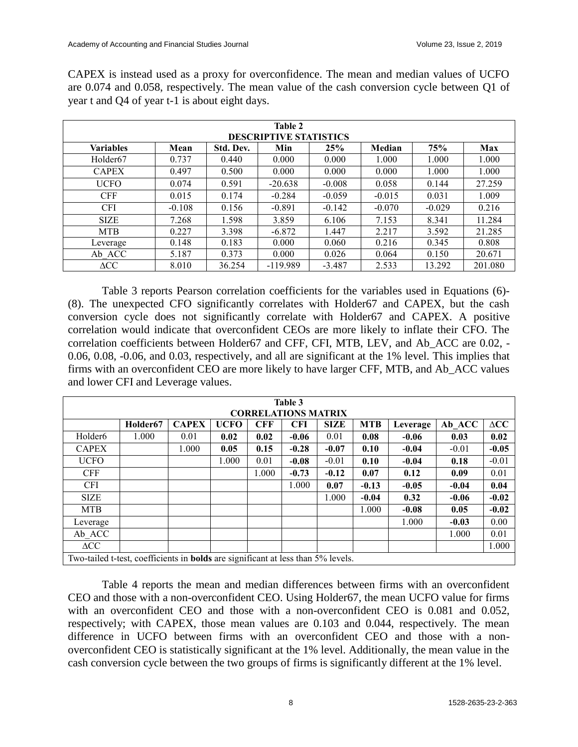CAPEX is instead used as a proxy for overconfidence. The mean and median values of UCFO are 0.074 and 0.058, respectively. The mean value of the cash conversion cycle between Q1 of year t and Q4 of year t-1 is about eight days.

| Table 2<br><b>DESCRIPTIVE STATISTICS</b> |          |           |            |          |          |          |         |
|------------------------------------------|----------|-----------|------------|----------|----------|----------|---------|
| <b>Variables</b>                         | Mean     | Std. Dev. | Min        | 25%      | Median   | 75%      | Max     |
| Holder <sub>67</sub>                     | 0.737    | 0.440     | 0.000      | 0.000    | 1.000    | 1.000    | 1.000   |
| <b>CAPEX</b>                             | 0.497    | 0.500     | 0.000      | 0.000    | 0.000    | 1.000    | 1.000   |
| <b>UCFO</b>                              | 0.074    | 0.591     | $-20.638$  | $-0.008$ | 0.058    | 0.144    | 27.259  |
| <b>CFF</b>                               | 0.015    | 0.174     | $-0.284$   | $-0.059$ | $-0.015$ | 0.031    | 1.009   |
| <b>CFI</b>                               | $-0.108$ | 0.156     | $-0.891$   | $-0.142$ | $-0.070$ | $-0.029$ | 0.216   |
| <b>SIZE</b>                              | 7.268    | 1.598     | 3.859      | 6.106    | 7.153    | 8.341    | 11.284  |
| <b>MTB</b>                               | 0.227    | 3.398     | $-6.872$   | 1.447    | 2.217    | 3.592    | 21.285  |
| Leverage                                 | 0.148    | 0.183     | 0.000      | 0.060    | 0.216    | 0.345    | 0.808   |
| Ab ACC                                   | 5.187    | 0.373     | 0.000      | 0.026    | 0.064    | 0.150    | 20.671  |
| $\triangle CC$                           | 8.010    | 36.254    | $-119.989$ | $-3.487$ | 2.533    | 13.292   | 201.080 |

Table 3 reports Pearson correlation coefficients for the variables used in Equations (6)- (8). The unexpected CFO significantly correlates with Holder67 and CAPEX, but the cash conversion cycle does not significantly correlate with Holder67 and CAPEX. A positive correlation would indicate that overconfident CEOs are more likely to inflate their CFO. The correlation coefficients between Holder67 and CFF, CFI, MTB, LEV, and Ab\_ACC are 0.02, - 0.06, 0.08, -0.06, and 0.03, respectively, and all are significant at the 1% level. This implies that firms with an overconfident CEO are more likely to have larger CFF, MTB, and Ab\_ACC values and lower CFI and Leverage values.

| Table 3<br><b>CORRELATIONS MATRIX</b>                                                   |                      |              |             |            |            |             |            |          |         |                |
|-----------------------------------------------------------------------------------------|----------------------|--------------|-------------|------------|------------|-------------|------------|----------|---------|----------------|
|                                                                                         | Holder <sub>67</sub> | <b>CAPEX</b> | <b>UCFO</b> | <b>CFF</b> | <b>CFI</b> | <b>SIZE</b> | <b>MTB</b> | Leverage | Ab ACC  | $\triangle CC$ |
| Holder <sub>6</sub>                                                                     | 1.000                | 0.01         | 0.02        | 0.02       | $-0.06$    | 0.01        | 0.08       | $-0.06$  | 0.03    | 0.02           |
| <b>CAPEX</b>                                                                            |                      | 1.000        | 0.05        | 0.15       | $-0.28$    | $-0.07$     | 0.10       | $-0.04$  | $-0.01$ | $-0.05$        |
| <b>UCFO</b>                                                                             |                      |              | 1.000       | 0.01       | $-0.08$    | $-0.01$     | 0.10       | $-0.04$  | 0.18    | $-0.01$        |
| <b>CFF</b>                                                                              |                      |              |             | 1.000      | $-0.73$    | $-0.12$     | 0.07       | 0.12     | 0.09    | 0.01           |
| <b>CFI</b>                                                                              |                      |              |             |            | 1.000      | 0.07        | $-0.13$    | $-0.05$  | $-0.04$ | 0.04           |
| <b>SIZE</b>                                                                             |                      |              |             |            |            | 1.000       | $-0.04$    | 0.32     | $-0.06$ | $-0.02$        |
| <b>MTB</b>                                                                              |                      |              |             |            |            |             | 1.000      | $-0.08$  | 0.05    | $-0.02$        |
| Leverage                                                                                |                      |              |             |            |            |             |            | 1.000    | $-0.03$ | 0.00           |
| Ab ACC                                                                                  |                      |              |             |            |            |             |            |          | 1.000   | 0.01           |
| $\triangle CC$                                                                          |                      |              |             |            |            |             |            |          |         | 1.000          |
| Two-tailed t-test, coefficients in <b>bolds</b> are significant at less than 5% levels. |                      |              |             |            |            |             |            |          |         |                |

Table 4 reports the mean and median differences between firms with an overconfident CEO and those with a non-overconfident CEO. Using Holder67, the mean UCFO value for firms with an overconfident CEO and those with a non-overconfident CEO is 0.081 and 0.052, respectively; with CAPEX, those mean values are 0.103 and 0.044, respectively. The mean difference in UCFO between firms with an overconfident CEO and those with a nonoverconfident CEO is statistically significant at the 1% level. Additionally, the mean value in the cash conversion cycle between the two groups of firms is significantly different at the 1% level.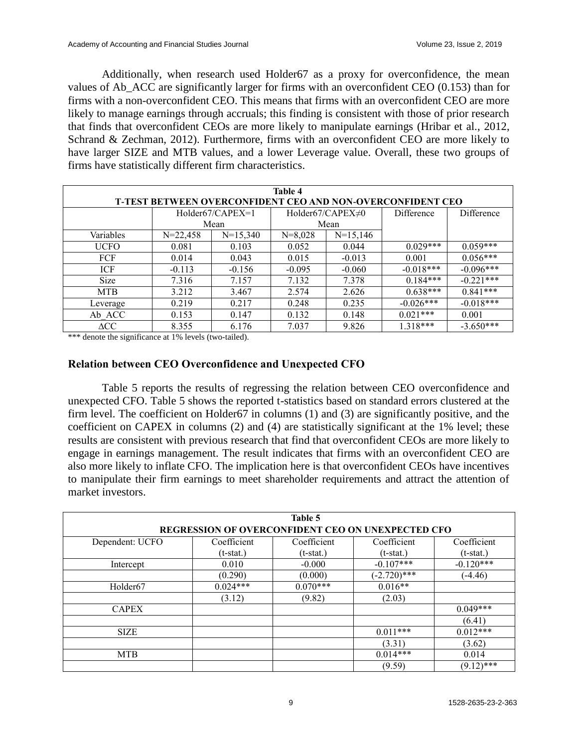Additionally, when research used Holder67 as a proxy for overconfidence, the mean values of Ab\_ACC are significantly larger for firms with an overconfident CEO (0.153) than for firms with a non-overconfident CEO. This means that firms with an overconfident CEO are more likely to manage earnings through accruals; this finding is consistent with those of prior research that finds that overconfident CEOs are more likely to manipulate earnings (Hribar et al., 2012, Schrand & Zechman, 2012). Furthermore, firms with an overconfident CEO are more likely to have larger SIZE and MTB values, and a lower Leverage value. Overall, these two groups of firms have statistically different firm characteristics.

| Table 4                                                           |            |                    |           |                         |             |             |  |
|-------------------------------------------------------------------|------------|--------------------|-----------|-------------------------|-------------|-------------|--|
| <b>T-TEST BETWEEN OVERCONFIDENT CEO AND NON-OVERCONFIDENT CEO</b> |            |                    |           |                         |             |             |  |
|                                                                   |            | $Holder67/CAPEX=1$ |           | Holder67/CAPEX $\neq$ 0 | Difference  | Difference  |  |
|                                                                   | Mean       |                    |           | Mean                    |             |             |  |
| Variables                                                         | $N=22,458$ | $N=15,340$         | $N=8,028$ | $N=15,146$              |             |             |  |
| <b>UCFO</b>                                                       | 0.081      | 0.103              | 0.052     | 0.044                   | $0.029***$  | $0.059***$  |  |
| <b>FCF</b>                                                        | 0.014      | 0.043              | 0.015     | $-0.013$                | 0.001       | $0.056***$  |  |
| ICF                                                               | $-0.113$   | $-0.156$           | $-0.095$  | $-0.060$                | $-0.018***$ | $-0.096***$ |  |
| <b>Size</b>                                                       | 7.316      | 7.157              | 7.132     | 7.378                   | $0.184***$  | $-0.221***$ |  |
| <b>MTB</b>                                                        | 3.212      | 3.467              | 2.574     | 2.626                   | $0.638***$  | $0.841***$  |  |
| Leverage                                                          | 0.219      | 0.217              | 0.248     | 0.235                   | $-0.026***$ | $-0.018***$ |  |
| Ab ACC                                                            | 0.153      | 0.147              | 0.132     | 0.148                   | $0.021***$  | 0.001       |  |
| $\triangle CC$                                                    | 8.355      | 6.176              | 7.037     | 9.826                   | $1.318***$  | $-3.650***$ |  |

\*\*\* denote the significance at 1% levels (two-tailed).

## **Relation between CEO Overconfidence and Unexpected CFO**

Table 5 reports the results of regressing the relation between CEO overconfidence and unexpected CFO. Table 5 shows the reported t-statistics based on standard errors clustered at the firm level. The coefficient on Holder67 in columns (1) and (3) are significantly positive, and the coefficient on CAPEX in columns (2) and (4) are statistically significant at the 1% level; these results are consistent with previous research that find that overconfident CEOs are more likely to engage in earnings management. The result indicates that firms with an overconfident CEO are also more likely to inflate CFO. The implication here is that overconfident CEOs have incentives to manipulate their firm earnings to meet shareholder requirements and attract the attention of market investors.

| Table 5<br>REGRESSION OF OVERCONFIDENT CEO ON UNEXPECTED CFO |              |             |                |              |  |  |
|--------------------------------------------------------------|--------------|-------------|----------------|--------------|--|--|
| Dependent: UCFO                                              | Coefficient  | Coefficient | Coefficient    | Coefficient  |  |  |
|                                                              | $(t$ -stat.) | $(t-stat.)$ | $(t$ -stat.)   | $(t-stat.)$  |  |  |
| Intercept                                                    | 0.010        | $-0.000$    | $-0.107***$    | $-0.120***$  |  |  |
|                                                              | (0.290)      | (0.000)     | $(-2.720)$ *** | $(-4.46)$    |  |  |
| Holder <sub>67</sub>                                         | $0.024***$   | $0.070***$  | $0.016**$      |              |  |  |
|                                                              | (3.12)       | (9.82)      | (2.03)         |              |  |  |
| <b>CAPEX</b>                                                 |              |             |                | $0.049***$   |  |  |
|                                                              |              |             |                | (6.41)       |  |  |
| <b>SIZE</b>                                                  |              |             | $0.011***$     | $0.012***$   |  |  |
|                                                              |              |             | (3.31)         | (3.62)       |  |  |
| <b>MTB</b>                                                   |              |             | $0.014***$     | 0.014        |  |  |
|                                                              |              |             | (9.59)         | $(9.12)$ *** |  |  |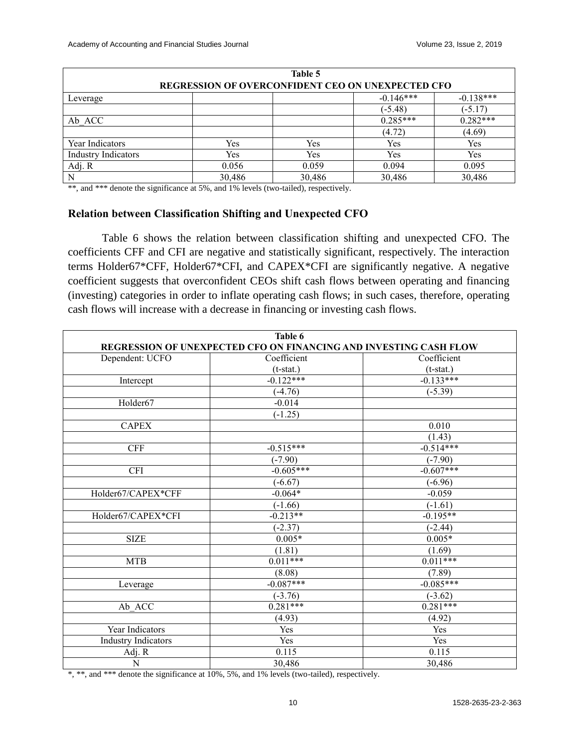| Table 5                                                  |        |        |             |             |  |  |
|----------------------------------------------------------|--------|--------|-------------|-------------|--|--|
| <b>REGRESSION OF OVERCONFIDENT CEO ON UNEXPECTED CFO</b> |        |        |             |             |  |  |
| Leverage                                                 |        |        | $-0.146***$ | $-0.138***$ |  |  |
|                                                          |        |        | $(-5.48)$   | $(-5.17)$   |  |  |
| Ab ACC                                                   |        |        | $0.285***$  | $0.282***$  |  |  |
|                                                          |        |        | (4.72)      | (4.69)      |  |  |
| Year Indicators                                          | Yes    | Yes    | Yes         | Yes         |  |  |
| <b>Industry Indicators</b>                               | Yes    | Yes    | Yes         | Yes         |  |  |
| Adj. R                                                   | 0.056  | 0.059  | 0.094       | 0.095       |  |  |
| N                                                        | 30,486 | 30,486 | 30,486      | 30,486      |  |  |

\*\*, and \*\*\* denote the significance at 5%, and 1% levels (two-tailed), respectively.

## **Relation between Classification Shifting and Unexpected CFO**

Table 6 shows the relation between classification shifting and unexpected CFO. The coefficients CFF and CFI are negative and statistically significant, respectively. The interaction terms Holder67\*CFF, Holder67\*CFI, and CAPEX\*CFI are significantly negative. A negative coefficient suggests that overconfident CEOs shift cash flows between operating and financing (investing) categories in order to inflate operating cash flows; in such cases, therefore, operating cash flows will increase with a decrease in financing or investing cash flows.

|                            | Table 6                                                           |                      |
|----------------------------|-------------------------------------------------------------------|----------------------|
|                            | REGRESSION OF UNEXPECTED CFO ON FINANCING AND INVESTING CASH FLOW |                      |
| Dependent: UCFO            | Coefficient                                                       | Coefficient          |
|                            | $(t-stat.)$                                                       | $(t-stat.)$          |
| Intercept                  | $-0.122***$                                                       | $-0.133***$          |
|                            | $\overline{(-4.76)}$                                              | $\overline{(-5.39)}$ |
| Holder67                   | $-0.014$                                                          |                      |
|                            | $(-1.25)$                                                         |                      |
| <b>CAPEX</b>               |                                                                   | 0.010                |
|                            |                                                                   | (1.43)               |
| <b>CFF</b>                 | $-0.515***$                                                       | $-0.514***$          |
|                            | $(-7.90)$                                                         | $(-7.90)$            |
| <b>CFI</b>                 | $-0.605***$                                                       | $-0.607***$          |
|                            | $(-6.67)$                                                         | $(-6.96)$            |
| Holder67/CAPEX*CFF         | $-0.064*$                                                         | $-0.059$             |
|                            | $(-1.66)$                                                         | $(-1.61)$            |
| Holder67/CAPEX*CFI         | $-0.213**$                                                        | $-0.195**$           |
|                            | $(-2.37)$                                                         | $(-2.44)$            |
| <b>SIZE</b>                | $0.005*$                                                          | $0.005*$             |
|                            | (1.81)                                                            | (1.69)               |
| <b>MTB</b>                 | $0.011***$                                                        | $0.011***$           |
|                            | (8.08)                                                            | (7.89)               |
| Leverage                   | $-0.087***$                                                       | $-0.085***$          |
|                            | $(-3.76)$                                                         | $(-3.62)$            |
| $Ab$ <sub>_ACC</sub>       | $0.281***$                                                        | $0.281***$           |
|                            | (4.93)                                                            | (4.92)               |
| Year Indicators            | Yes                                                               | Yes                  |
| <b>Industry Indicators</b> | Yes                                                               | Yes                  |
| Adj. R                     | 0.115                                                             | 0.115                |
| $\overline{\rm N}$         | 30,486                                                            | 30,486               |

\*, \*\*, and \*\*\* denote the significance at 10%, 5%, and 1% levels (two-tailed), respectively.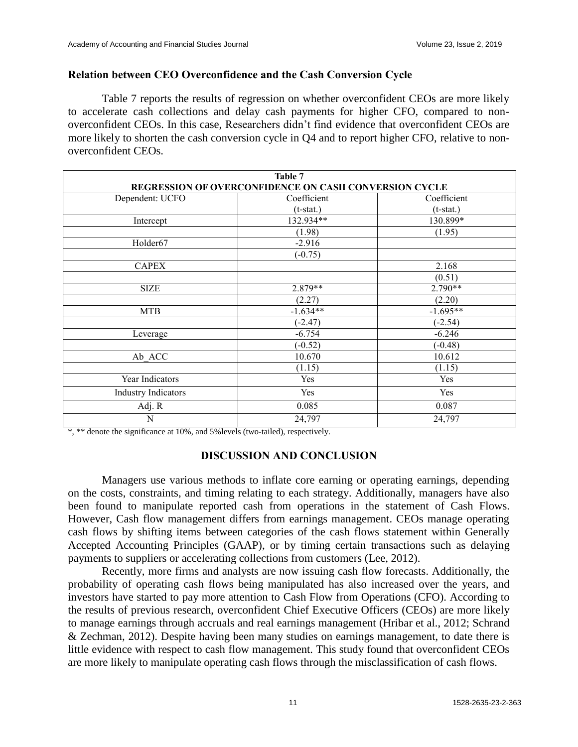## **Relation between CEO Overconfidence and the Cash Conversion Cycle**

Table 7 reports the results of regression on whether overconfident CEOs are more likely to accelerate cash collections and delay cash payments for higher CFO, compared to nonoverconfident CEOs. In this case, Researchers didn't find evidence that overconfident CEOs are more likely to shorten the cash conversion cycle in Q4 and to report higher CFO, relative to nonoverconfident CEOs.

| Table 7                                               |             |             |  |  |  |
|-------------------------------------------------------|-------------|-------------|--|--|--|
| REGRESSION OF OVERCONFIDENCE ON CASH CONVERSION CYCLE |             |             |  |  |  |
| Dependent: UCFO                                       | Coefficient | Coefficient |  |  |  |
|                                                       | $(t-stat.)$ | $(t-stat.)$ |  |  |  |
| Intercept                                             | 132.934**   | 130.899*    |  |  |  |
|                                                       | (1.98)      | (1.95)      |  |  |  |
| Holder67                                              | $-2.916$    |             |  |  |  |
|                                                       | $(-0.75)$   |             |  |  |  |
| <b>CAPEX</b>                                          |             | 2.168       |  |  |  |
|                                                       |             | (0.51)      |  |  |  |
| <b>SIZE</b>                                           | 2.879**     | 2.790**     |  |  |  |
|                                                       | (2.27)      | (2.20)      |  |  |  |
| <b>MTB</b>                                            | $-1.634**$  | $-1.695**$  |  |  |  |
|                                                       | $(-2.47)$   | $(-2.54)$   |  |  |  |
| Leverage                                              | $-6.754$    | $-6.246$    |  |  |  |
|                                                       | $(-0.52)$   | $(-0.48)$   |  |  |  |
| Ab ACC                                                | 10.670      | 10.612      |  |  |  |
|                                                       | (1.15)      | (1.15)      |  |  |  |
| Year Indicators                                       | Yes         | Yes         |  |  |  |
| <b>Industry Indicators</b>                            | Yes         | Yes         |  |  |  |
| Adj. R                                                | 0.085       | 0.087       |  |  |  |
| N                                                     | 24,797      | 24,797      |  |  |  |

\*, \*\* denote the significance at 10%, and 5%levels (two-tailed), respectively.

## **DISCUSSION AND CONCLUSION**

Managers use various methods to inflate core earning or operating earnings, depending on the costs, constraints, and timing relating to each strategy. Additionally, managers have also been found to manipulate reported cash from operations in the statement of Cash Flows. However, Cash flow management differs from earnings management. CEOs manage operating cash flows by shifting items between categories of the cash flows statement within Generally Accepted Accounting Principles (GAAP), or by timing certain transactions such as delaying payments to suppliers or accelerating collections from customers (Lee, 2012).

Recently, more firms and analysts are now issuing cash flow forecasts. Additionally, the probability of operating cash flows being manipulated has also increased over the years, and investors have started to pay more attention to Cash Flow from Operations (CFO). According to the results of previous research, overconfident Chief Executive Officers (CEOs) are more likely to manage earnings through accruals and real earnings management (Hribar et al., 2012; Schrand & Zechman, 2012). Despite having been many studies on earnings management, to date there is little evidence with respect to cash flow management. This study found that overconfident CEOs are more likely to manipulate operating cash flows through the misclassification of cash flows.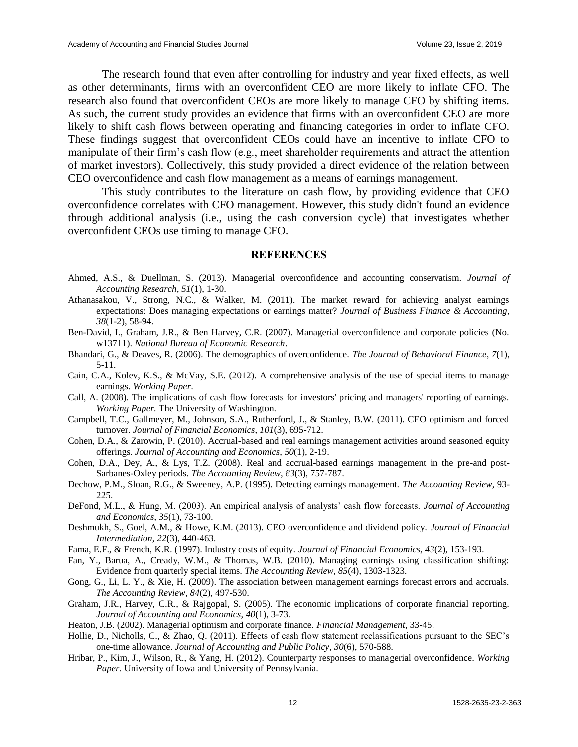The research found that even after controlling for industry and year fixed effects, as well as other determinants, firms with an overconfident CEO are more likely to inflate CFO. The research also found that overconfident CEOs are more likely to manage CFO by shifting items. As such, the current study provides an evidence that firms with an overconfident CEO are more likely to shift cash flows between operating and financing categories in order to inflate CFO. These findings suggest that overconfident CEOs could have an incentive to inflate CFO to manipulate of their firm's cash flow (e.g., meet shareholder requirements and attract the attention of market investors). Collectively, this study provided a direct evidence of the relation between CEO overconfidence and cash flow management as a means of earnings management.

This study contributes to the literature on cash flow, by providing evidence that CEO overconfidence correlates with CFO management. However, this study didn't found an evidence through additional analysis (i.e., using the cash conversion cycle) that investigates whether overconfident CEOs use timing to manage CFO.

#### **REFERENCES**

- Ahmed, A.S., & Duellman, S. (2013). Managerial overconfidence and accounting conservatism. *Journal of Accounting Research*, *51*(1), 1-30.
- Athanasakou, V., Strong, N.C., & Walker, M. (2011). The market reward for achieving analyst earnings expectations: Does managing expectations or earnings matter? *Journal of Business Finance & Accounting, 38*(1-2), 58-94.
- Ben-David, I., Graham, J.R., & Ben Harvey, C.R. (2007). Managerial overconfidence and corporate policies (No. w13711). *National Bureau of Economic Research*.
- Bhandari, G., & Deaves, R. (2006). The demographics of overconfidence. *The Journal of Behavioral Finance*, *7*(1), 5-11.
- Cain, C.A., Kolev, K.S., & McVay, S.E. (2012). A comprehensive analysis of the use of special items to manage earnings. *Working Paper*.
- Call, A. (2008). The implications of cash flow forecasts for investors' pricing and managers' reporting of earnings. *Working Paper.* The University of Washington.
- Campbell, T.C., Gallmeyer, M., Johnson, S.A., Rutherford, J., & Stanley, B.W. (2011). CEO optimism and forced turnover. *Journal of Financial Economics*, *101*(3), 695-712.
- Cohen, D.A., & Zarowin, P. (2010). Accrual-based and real earnings management activities around seasoned equity offerings. *Journal of Accounting and Economics*, *50*(1), 2-19.
- Cohen, D.A., Dey, A., & Lys, T.Z. (2008). Real and accrual-based earnings management in the pre-and post-Sarbanes-Oxley periods. *The Accounting Review*, *83*(3), 757-787.
- Dechow, P.M., Sloan, R.G., & Sweeney, A.P. (1995). Detecting earnings management. *The Accounting Review*, 93- 225.
- DeFond, M.L., & Hung, M. (2003). An empirical analysis of analysts' cash flow forecasts. *Journal of Accounting and Economics*, *35*(1), 73-100.
- Deshmukh, S., Goel, A.M., & Howe, K.M. (2013). CEO overconfidence and dividend policy. *Journal of Financial Intermediation*, *22*(3), 440-463.
- Fama, E.F., & French, K.R. (1997). Industry costs of equity. *Journal of Financial Economics, 43*(2), 153-193.
- Fan, Y., Barua, A., Cready, W.M., & Thomas, W.B. (2010). Managing earnings using classification shifting: Evidence from quarterly special items. *The Accounting Review, 85*(4), 1303-1323.
- Gong, G., Li, L. Y., & Xie, H. (2009). The association between management earnings forecast errors and accruals. *The Accounting Review*, *84*(2), 497-530.
- Graham, J.R., Harvey, C.R., & Rajgopal, S. (2005). The economic implications of corporate financial reporting. *Journal of Accounting and Economics*, *40*(1), 3-73.
- Heaton, J.B. (2002). Managerial optimism and corporate finance. *Financial Management*, 33-45.
- Hollie, D., Nicholls, C., & Zhao, Q. (2011). Effects of cash flow statement reclassifications pursuant to the SEC's one-time allowance. *Journal of Accounting and Public Policy*, *30*(6), 570-588.
- Hribar, P., Kim, J., Wilson, R., & Yang, H. (2012). Counterparty responses to managerial overconfidence. *Working Paper*. University of Iowa and University of Pennsylvania.